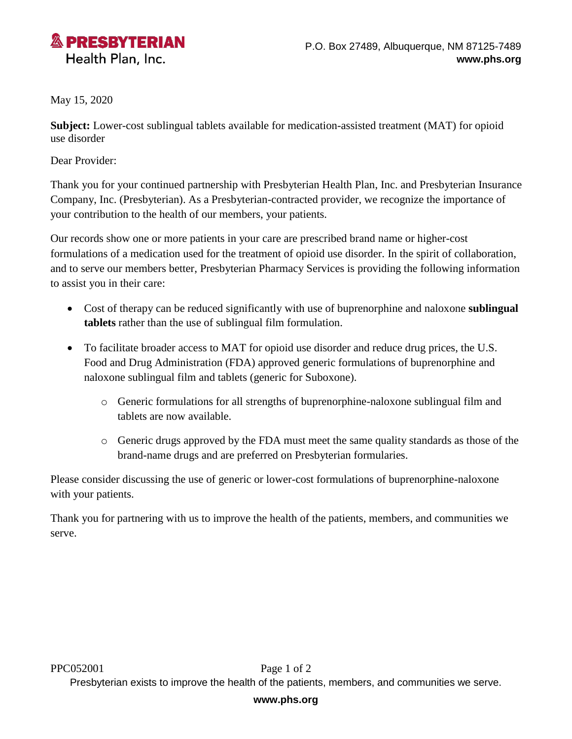

May 15, 2020

**Subject:** Lower-cost sublingual tablets available for medication-assisted treatment (MAT) for opioid use disorder

Dear Provider:

Thank you for your continued partnership with Presbyterian Health Plan, Inc. and Presbyterian Insurance Company, Inc. (Presbyterian). As a Presbyterian-contracted provider, we recognize the importance of your contribution to the health of our members, your patients.

Our records show one or more patients in your care are prescribed brand name or higher-cost formulations of a medication used for the treatment of opioid use disorder. In the spirit of collaboration, and to serve our members better, Presbyterian Pharmacy Services is providing the following information to assist you in their care:

- Cost of therapy can be reduced significantly with use of buprenorphine and naloxone **sublingual tablets** rather than the use of sublingual film formulation.
- To facilitate broader access to MAT for opioid use disorder and reduce drug prices, the U.S. Food and Drug Administration (FDA) approved generic formulations of buprenorphine and naloxone sublingual film and tablets (generic for Suboxone).
	- o Generic formulations for all strengths of buprenorphine-naloxone sublingual film and tablets are now available.
	- o Generic drugs approved by the FDA must meet the same quality standards as those of the brand-name drugs and are preferred on Presbyterian formularies.

Please consider discussing the use of generic or lower-cost formulations of buprenorphine-naloxone with your patients.

Thank you for partnering with us to improve the health of the patients, members, and communities we serve.

Presbyterian exists to improve the health of the patients, members, and communities we serve.

## **www.phs.org**